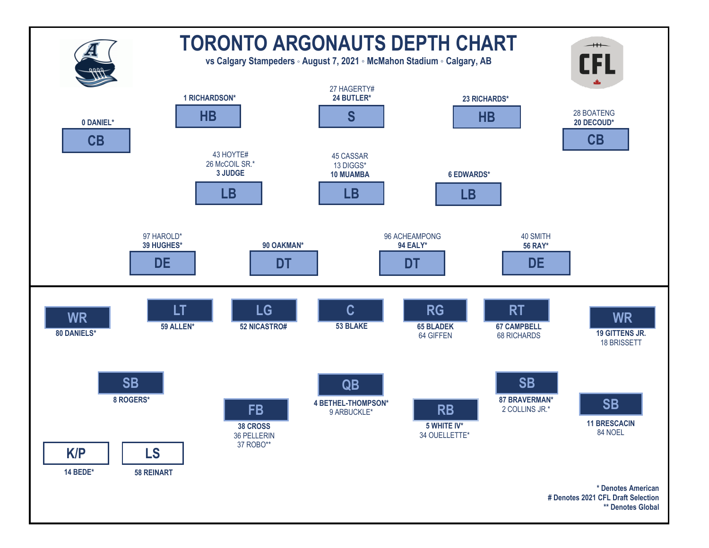